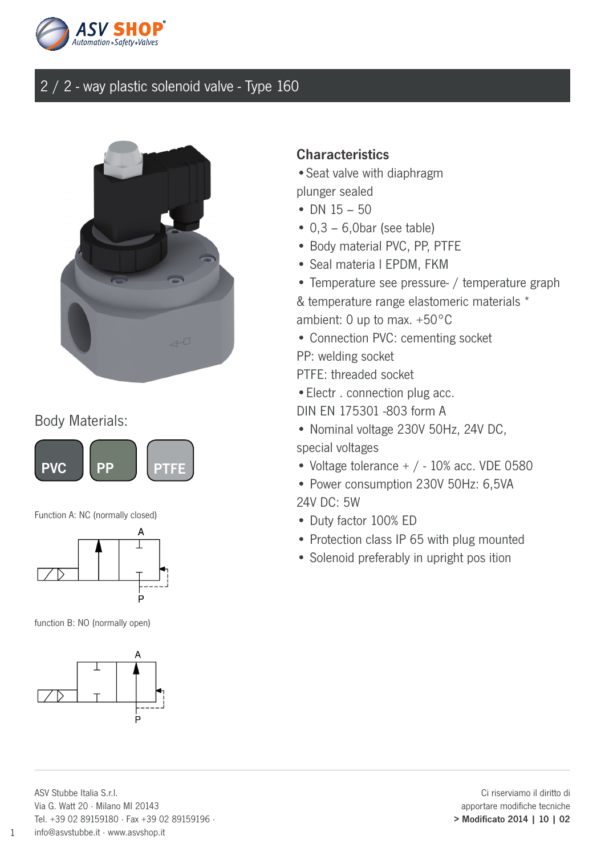



### Body Materials:



Function A: NC (normally closed)



function B: NO (normally open)



#### **Characteristics**

•Seat valve with diaphragm plunger sealed

- DN  $15 50$
- $\bullet$  0.3 6.0bar (see table)
- Body material PVC, PP, PTFE
- Seal materia l EPDM, FKM
- Temperature see pressure- / temperature graph
- & temperature range elastomeric materials \*
- ambient: 0 up to max. +50°C
- Connection PVC: cementing socket
- PP: welding socket
- PTFE: threaded socket
- •Electr . connection plug acc.
- DIN EN 175301 -803 form A
- Nominal voltage 230V 50Hz, 24V DC, special voltages
- Voltage tolerance  $+$  / 10% acc. VDE 0580
- Power consumption 230V 50Hz: 6,5VA 24V DC: 5W
- Duty factor 100% ED
- Protection class IP 65 with plug mounted
- Solenoid preferably in upright pos ition

1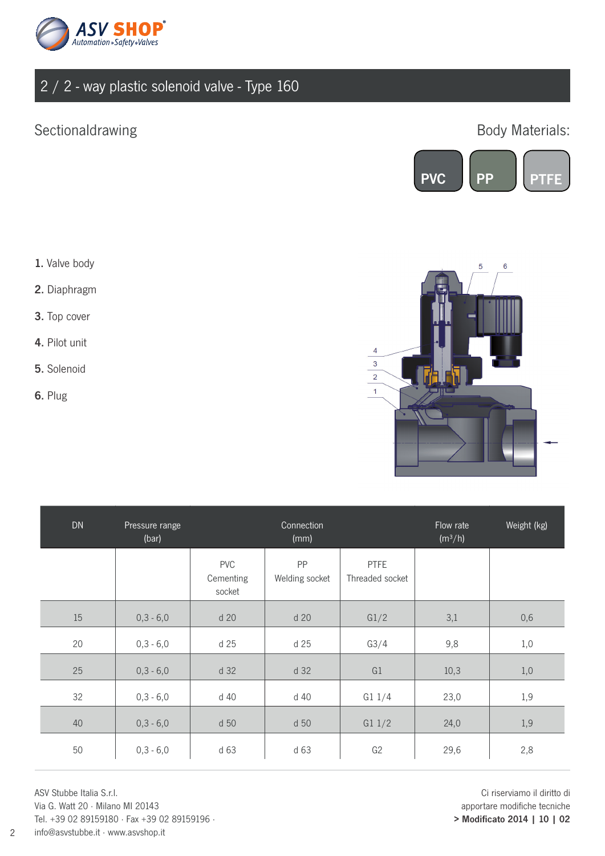

## Sectionaldrawing **Body Materials:**



- 1. Valve body
- 2. Diaphragm
- 3. Top cover
- 4. Pilot unit
- 5. Solenoid
- 6. Plug



| DN | Pressure range<br>(bar) |                                   | Connection<br>(mm)   |                                | Flow rate<br>(m <sup>3</sup> /h) | Weight (kg) |
|----|-------------------------|-----------------------------------|----------------------|--------------------------------|----------------------------------|-------------|
|    |                         | <b>PVC</b><br>Cementing<br>socket | PP<br>Welding socket | <b>PTFE</b><br>Threaded socket |                                  |             |
| 15 | $0, 3 - 6, 0$           | d 20                              | d 20                 | G1/2                           | 3,1                              | 0,6         |
| 20 | $0,3 - 6,0$             | d 25                              | d 25                 | G3/4                           | 9,8                              | 1,0         |
| 25 | $0, 3 - 6, 0$           | d 32                              | d 32                 | G1                             | 10,3                             | 1,0         |
| 32 | $0,3 - 6,0$             | d 40                              | d 40                 | G11/4                          | 23,0                             | 1,9         |
| 40 | $0, 3 - 6, 0$           | d 50                              | d 50                 | G11/2                          | 24,0                             | 1,9         |
| 50 | $0,3 - 6,0$             | d 63                              | d 63                 | G <sub>2</sub>                 | 29,6                             | 2,8         |

ASV Stubbe Italia S.r.l. Via G. Watt 20 · Milano MI 20143 Tel. +39 02 89159180 · Fax +39 02 89159196 · info@asvstubbe.it · www.asvshop.it

Ci riserviamo il diritto di apportare modifiche tecniche > Modificato 2014 | 10 | 02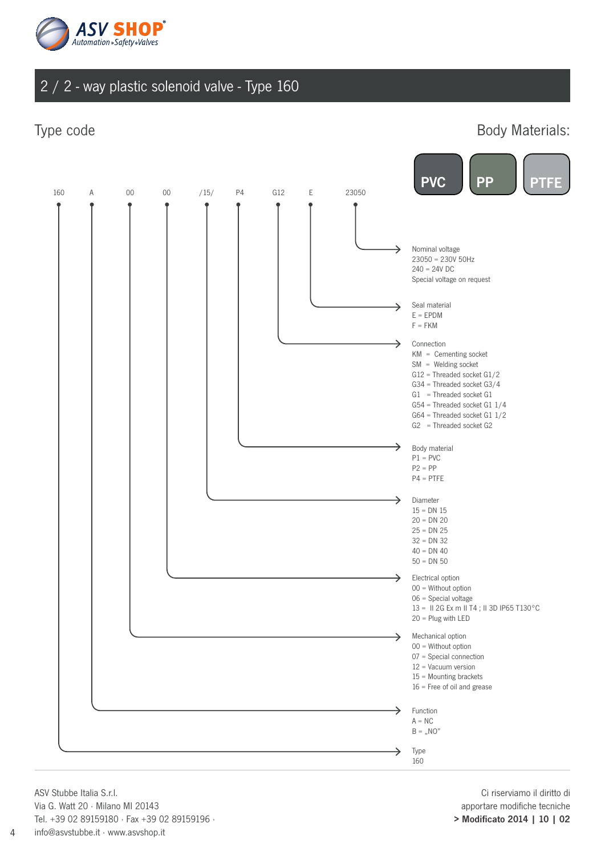

Type code **Body Materials:** 



ASV Stubbe Italia S.r.l. Via G. Watt 20 · Milano MI 20143 Tel. +39 02 89159180 · Fax +39 02 89159196 · info@asvstubbe.it · www.asvshop.it

4

Ci riserviamo il diritto di apportare modifiche tecniche > Modificato 2014 | 10 | 02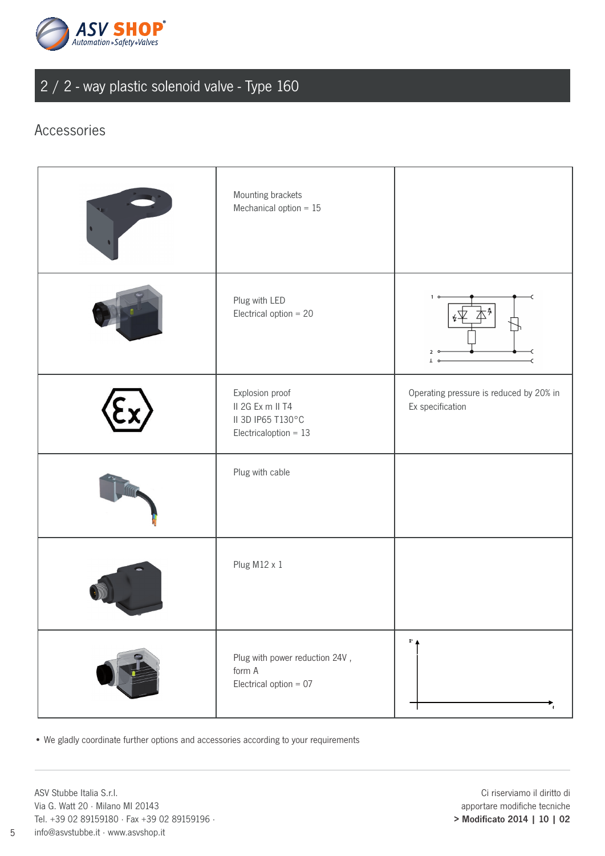

### Accessories

| Mounting brackets<br>Mechanical option $= 15$                                       |                                                             |
|-------------------------------------------------------------------------------------|-------------------------------------------------------------|
| Plug with LED<br>Electrical option $= 20$                                           | Δ<br>$\overline{z}$                                         |
| Explosion proof<br>II 2G Ex m II T4<br>II 3D IP65 T130°C<br>Electricaloption = $13$ | Operating pressure is reduced by 20% in<br>Ex specification |
| Plug with cable                                                                     |                                                             |
| Plug M12 x 1                                                                        |                                                             |
| Plug with power reduction 24V,<br>form A<br>Electrical option = $07$                | $P_{\perp}$                                                 |

• We gladly coordinate further options and accessories according to your requirements

ASV Stubbe Italia S.r.l. Via G. Watt 20 · Milano MI 20143 Tel. +39 02 89159180 · Fax +39 02 89159196 · info@asvstubbe.it · www.asvshop.it